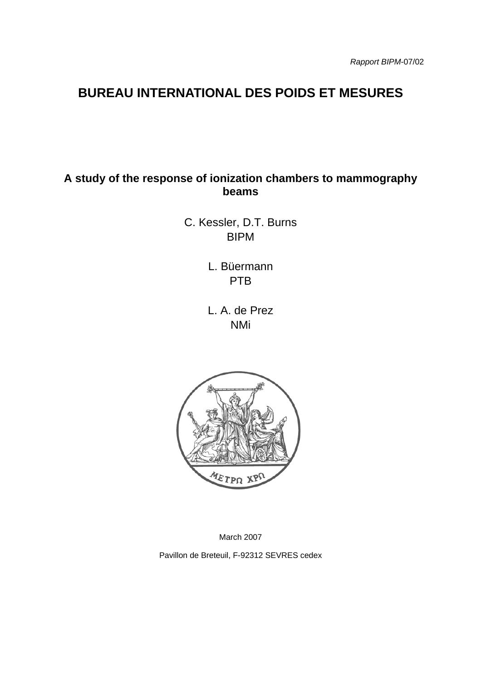# **BUREAU INTERNATIONAL DES POIDS ET MESURES**

# **A study of the response of ionization chambers to mammography beams**

C. Kessler, D.T. Burns BIPM

> L. Büermann PTB

L. A. de Prez NMi



March 2007

Pavillon de Breteuil, F-92312 SEVRES cedex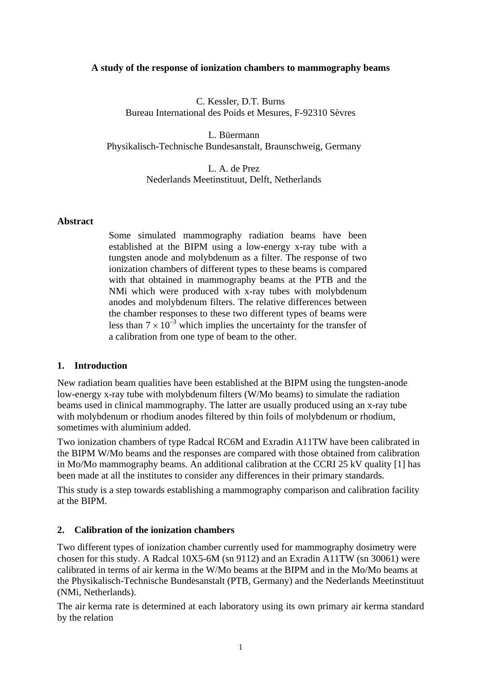#### **A study of the response of ionization chambers to mammography beams**

C. Kessler, D.T. Burns Bureau International des Poids et Mesures, F-92310 Sèvres

L. Büermann Physikalisch-Technische Bundesanstalt, Braunschweig, Germany

> L. A. de Prez Nederlands Meetinstituut, Delft, Netherlands

### **Abstract**

Some simulated mammography radiation beams have been established at the BIPM using a low-energy x-ray tube with a tungsten anode and molybdenum as a filter. The response of two ionization chambers of different types to these beams is compared with that obtained in mammography beams at the PTB and the NMi which were produced with x-ray tubes with molybdenum anodes and molybdenum filters. The relative differences between the chamber responses to these two different types of beams were less than  $7 \times 10^{-3}$  which implies the uncertainty for the transfer of a calibration from one type of beam to the other.

#### **1. Introduction**

New radiation beam qualities have been established at the BIPM using the tungsten-anode low-energy x-ray tube with molybdenum filters (W/Mo beams) to simulate the radiation beams used in clinical mammography. The latter are usually produced using an x-ray tube with molybdenum or rhodium anodes filtered by thin foils of molybdenum or rhodium, sometimes with aluminium added.

Two ionization chambers of type Radcal RC6M and Exradin A11TW have been calibrated in the BIPM W/Mo beams and the responses are compared with those obtained from calibration in Mo/Mo mammography beams. An additional calibration at the CCRI 25 kV quality [1] has been made at all the institutes to consider any differences in their primary standards.

This study is a step towards establishing a mammography comparison and calibration facility at the BIPM.

#### **2. Calibration of the ionization chambers**

Two different types of ionization chamber currently used for mammography dosimetry were chosen for this study. A Radcal 10X5-6M (sn 9112) and an Exradin A11TW (sn 30061) were calibrated in terms of air kerma in the W/Mo beams at the BIPM and in the Mo/Mo beams at the Physikalisch-Technische Bundesanstalt (PTB, Germany) and the Nederlands Meetinstituut (NMi, Netherlands).

The air kerma rate is determined at each laboratory using its own primary air kerma standard by the relation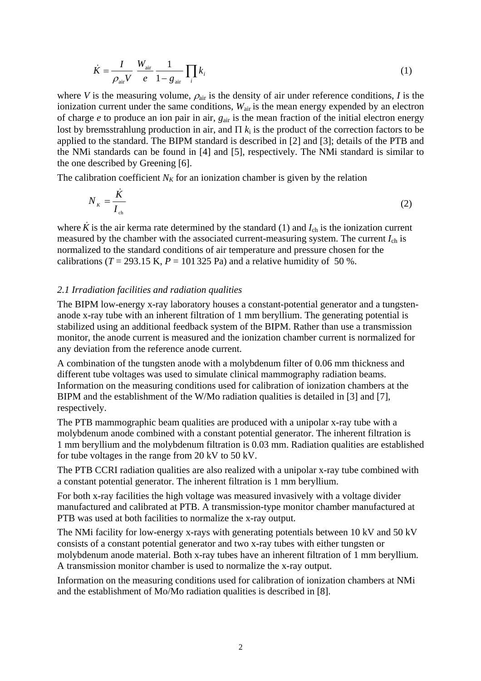$$
\dot{K} = \frac{I}{\rho_{\text{air}} V} \frac{W_{\text{air}}}{e} \frac{1}{1 - g_{\text{air}}} \prod_{i} k_{i}
$$
 (1)

where *V* is the measuring volume,  $\rho_{air}$  is the density of air under reference conditions, *I* is the ionization current under the same conditions,  $W_{air}$  is the mean energy expended by an electron of charge *e* to produce an ion pair in air, *g*air is the mean fraction of the initial electron energy lost by bremsstrahlung production in air, and  $\Pi$   $k_i$  is the product of the correction factors to be applied to the standard. The BIPM standard is described in [2] and [3]; details of the PTB and the NMi standards can be found in [4] and [5], respectively. The NMi standard is similar to the one described by Greening [6].

The calibration coefficient  $N_K$  for an ionization chamber is given by the relation

$$
N_{\kappa} = \frac{\dot{K}}{I_{\text{ch}}} \tag{2}
$$

where  $\ddot{K}$  is the air kerma rate determined by the standard (1) and  $I_{ch}$  is the ionization current measured by the chamber with the associated current-measuring system. The current *I*ch is normalized to the standard conditions of air temperature and pressure chosen for the calibrations ( $T = 293.15$  K,  $P = 101325$  Pa) and a relative humidity of 50 %.

#### *2.1 Irradiation facilities and radiation qualities*

The BIPM low-energy x-ray laboratory houses a constant-potential generator and a tungstenanode x-ray tube with an inherent filtration of 1 mm beryllium. The generating potential is stabilized using an additional feedback system of the BIPM. Rather than use a transmission monitor, the anode current is measured and the ionization chamber current is normalized for any deviation from the reference anode current.

A combination of the tungsten anode with a molybdenum filter of 0.06 mm thickness and different tube voltages was used to simulate clinical mammography radiation beams. Information on the measuring conditions used for calibration of ionization chambers at the BIPM and the establishment of the W/Mo radiation qualities is detailed in [3] and [7], respectively.

The PTB mammographic beam qualities are produced with a unipolar x-ray tube with a molybdenum anode combined with a constant potential generator. The inherent filtration is 1 mm beryllium and the molybdenum filtration is 0.03 mm. Radiation qualities are established for tube voltages in the range from 20 kV to 50 kV.

The PTB CCRI radiation qualities are also realized with a unipolar x-ray tube combined with a constant potential generator. The inherent filtration is 1 mm beryllium.

For both x-ray facilities the high voltage was measured invasively with a voltage divider manufactured and calibrated at PTB. A transmission-type monitor chamber manufactured at PTB was used at both facilities to normalize the x-ray output.

The NMi facility for low-energy x-rays with generating potentials between 10 kV and 50 kV consists of a constant potential generator and two x-ray tubes with either tungsten or molybdenum anode material. Both x-ray tubes have an inherent filtration of 1 mm beryllium. A transmission monitor chamber is used to normalize the x-ray output.

Information on the measuring conditions used for calibration of ionization chambers at NMi and the establishment of Mo/Mo radiation qualities is described in [8].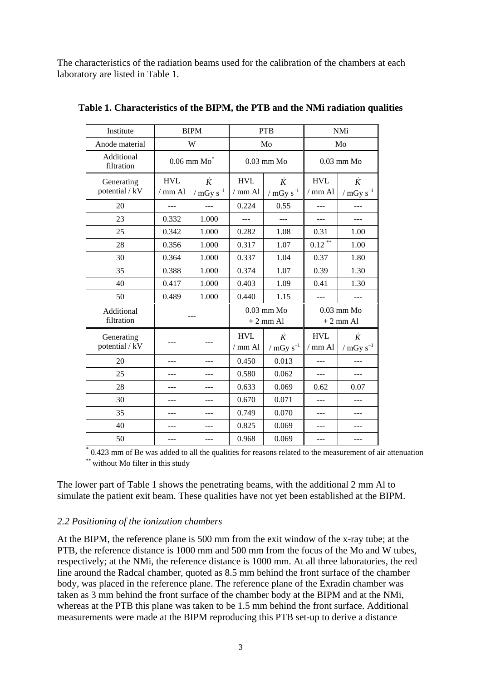The characteristics of the radiation beams used for the calibration of the chambers at each laboratory are listed in Table 1.

| Institute                |            | <b>BIPM</b>      | <b>PTB</b>                   |                  | <b>NMi</b>   |                |
|--------------------------|------------|------------------|------------------------------|------------------|--------------|----------------|
| Anode material           |            | W                |                              | Mo               |              | Mo             |
| Additional<br>filtration |            | $0.06$ mm $Mo^*$ | $0.03$ mm Mo<br>$0.03$ mm Mo |                  |              |                |
| Generating               | <b>HVL</b> | $\dot{K}$        | <b>HVL</b>                   | $\dot{K}$        | <b>HVL</b>   | $\dot{K}$      |
| potential / kV           | $/$ mm Al  | / $mGy s^{-1}$   | $/$ mm Al                    | / $mGy s^{-1}$   | $/$ mm Al    | / $mGy s^{-1}$ |
| 20                       |            |                  | 0.224                        | 0.55             | ---          |                |
| 23                       | 0.332      | 1.000            | ---                          |                  | ---          |                |
| 25                       | 0.342      | 1.000            | 0.282                        | 1.08             | 0.31         | 1.00           |
| 28                       | 0.356      | 1.000            | 0.317                        | 1.07             | $0.12$ **    | 1.00           |
| 30                       | 0.364      | 1.000            | 0.337                        | 1.04             | 0.37         | 1.80           |
| 35                       | 0.388      | 1.000            | 0.374                        | 1.07             | 0.39         | 1.30           |
| 40                       | 0.417      | 1.000            | 0.403                        | 1.09             | 0.41         | 1.30           |
| 50                       | 0.489      | 1.000            | 0.440                        | 1.15             | $- - -$      |                |
| Additional               | ---        |                  | $0.03$ mm Mo                 |                  | $0.03$ mm Mo |                |
| filtration               |            |                  |                              | $+2$ mm Al       |              | $+2$ mm Al     |
| Generating               |            |                  | <b>HVL</b>                   | $\dot{K}$        | <b>HVL</b>   | $\dot{K}$      |
| potential / kV           |            |                  | $/$ mm Al                    | $/$ mGy $s^{-1}$ | $/$ mm Al    | / $mGy s^{-1}$ |
| 20                       |            |                  | 0.450                        | 0.013            | ---          |                |
| 25                       |            |                  | 0.580                        | 0.062            |              |                |
| 28                       |            |                  | 0.633                        | 0.069            | 0.62         | 0.07           |
| 30                       |            |                  | 0.670                        | 0.071            |              |                |
| 35                       |            |                  | 0.749                        | 0.070            |              |                |
| 40                       |            |                  | 0.825                        | 0.069            |              |                |
| 50                       |            |                  | 0.968                        | 0.069            |              |                |

**Table 1. Characteristics of the BIPM, the PTB and the NMi radiation qualities** 

\* 0.423 mm of Be was added to all the qualities for reasons related to the measurement of air attenuation \*\* without Mo filter in this study

The lower part of Table 1 shows the penetrating beams, with the additional 2 mm Al to simulate the patient exit beam. These qualities have not yet been established at the BIPM.

### *2.2 Positioning of the ionization chambers*

At the BIPM, the reference plane is 500 mm from the exit window of the x-ray tube; at the PTB, the reference distance is 1000 mm and 500 mm from the focus of the Mo and W tubes, respectively; at the NMi, the reference distance is 1000 mm. At all three laboratories, the red line around the Radcal chamber, quoted as 8.5 mm behind the front surface of the chamber body, was placed in the reference plane. The reference plane of the Exradin chamber was taken as 3 mm behind the front surface of the chamber body at the BIPM and at the NMi, whereas at the PTB this plane was taken to be 1.5 mm behind the front surface. Additional measurements were made at the BIPM reproducing this PTB set-up to derive a distance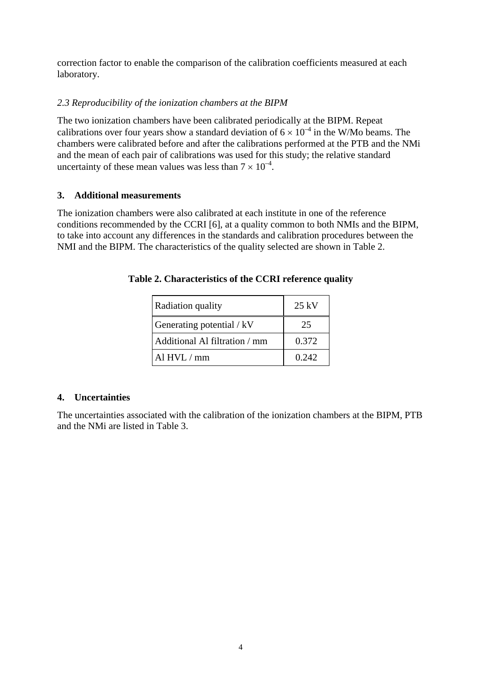correction factor to enable the comparison of the calibration coefficients measured at each laboratory.

# *2.3 Reproducibility of the ionization chambers at the BIPM*

The two ionization chambers have been calibrated periodically at the BIPM. Repeat calibrations over four years show a standard deviation of  $6 \times 10^{-4}$  in the W/Mo beams. The chambers were calibrated before and after the calibrations performed at the PTB and the NMi and the mean of each pair of calibrations was used for this study; the relative standard uncertainty of these mean values was less than  $7 \times 10^{-4}$ .

# **3. Additional measurements**

The ionization chambers were also calibrated at each institute in one of the reference conditions recommended by the CCRI [6], at a quality common to both NMIs and the BIPM, to take into account any differences in the standards and calibration procedures between the NMI and the BIPM. The characteristics of the quality selected are shown in Table 2.

| Radiation quality             | $25 \text{ kV}$ |
|-------------------------------|-----------------|
| Generating potential / kV     | 25              |
| Additional Al filtration / mm | 0.372           |
| Al $HVI$ . $/mm$              | 0.242           |

# **Table 2. Characteristics of the CCRI reference quality**

# **4. Uncertainties**

The uncertainties associated with the calibration of the ionization chambers at the BIPM, PTB and the NMi are listed in Table 3.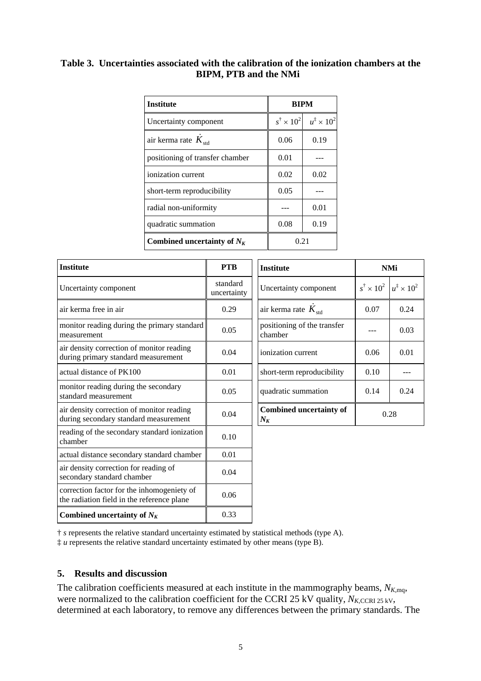## **Table 3. Uncertainties associated with the calibration of the ionization chambers at the BIPM, PTB and the NMi**

| <b>Institute</b>                | <b>BIPM</b> |                                                          |  |
|---------------------------------|-------------|----------------------------------------------------------|--|
| Uncertainty component           |             | $s^{\dagger} \times 10^{2}$ $u^{\ddagger} \times 10^{2}$ |  |
| air kerma rate $K_{\text{std}}$ | 0.06        | 0.19                                                     |  |
| positioning of transfer chamber | 0.01        |                                                          |  |
| ionization current              | 0.02        | 0.02                                                     |  |
| short-term reproducibility      | 0.05        |                                                          |  |
| radial non-uniformity           |             | 0.01                                                     |  |
| quadratic summation             | 0.08        | 0.19                                                     |  |
| Combined uncertainty of $N_K$   | 0.21        |                                                          |  |

| <b>Institute</b>                                                                         | <b>PTB</b>              | <b>Institute</b>                        |                           | <b>NMi</b>                   |  |
|------------------------------------------------------------------------------------------|-------------------------|-----------------------------------------|---------------------------|------------------------------|--|
| Uncertainty component                                                                    | standard<br>uncertainty | Uncertainty component                   | $s^{\dagger} \times 10^2$ | $u^{\ddagger} \times 10^{2}$ |  |
| air kerma free in air                                                                    | 0.29                    | air kerma rate $K_{\text{std}}$         | 0.07                      | 0.24                         |  |
| monitor reading during the primary standard<br>measurement                               | 0.05                    | positioning of the transfer<br>chamber  |                           | 0.03                         |  |
| air density correction of monitor reading<br>during primary standard measurement         | 0.04                    | ionization current                      | 0.06                      | 0.01                         |  |
| actual distance of PK100                                                                 | 0.01                    | short-term reproducibility              | 0.10                      |                              |  |
| monitor reading during the secondary<br>standard measurement                             | 0.05                    | quadratic summation                     | 0.14                      | 0.24                         |  |
| air density correction of monitor reading<br>during secondary standard measurement       | 0.04                    | <b>Combined uncertainty of</b><br>$N_K$ | 0.28                      |                              |  |
| reading of the secondary standard ionization<br>chamber                                  | 0.10                    |                                         |                           |                              |  |
| actual distance secondary standard chamber                                               | 0.01                    |                                         |                           |                              |  |
| air density correction for reading of<br>secondary standard chamber                      | 0.04                    |                                         |                           |                              |  |
| correction factor for the inhomogeniety of<br>the radiation field in the reference plane | 0.06                    |                                         |                           |                              |  |
| Combined uncertainty of $N_K$                                                            | 0.33                    |                                         |                           |                              |  |

‡ *u* represents the relative standard uncertainty estimated by other means (type B).

#### **5. Results and discussion**

The calibration coefficients measured at each institute in the mammography beams,  $N_{K,\text{mq}}$ , were normalized to the calibration coefficient for the CCRI 25 kV quality,  $N_{K,\text{CCR} 25 \text{ kV}}$ , determined at each laboratory, to remove any differences between the primary standards. The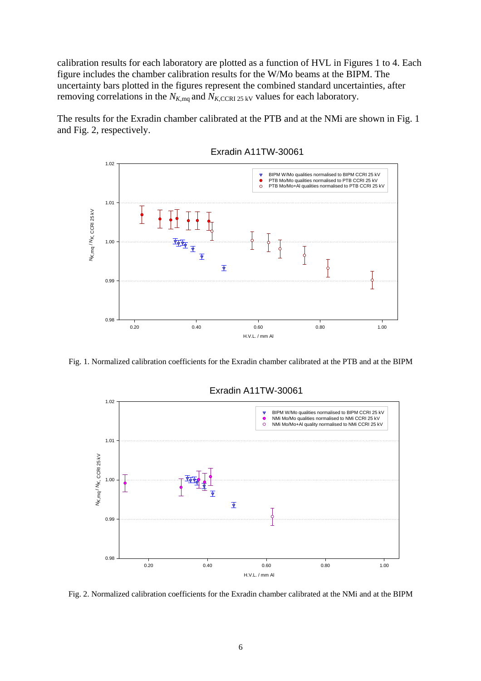calibration results for each laboratory are plotted as a function of HVL in Figures 1 to 4. Each figure includes the chamber calibration results for the W/Mo beams at the BIPM. The uncertainty bars plotted in the figures represent the combined standard uncertainties, after removing correlations in the  $N_{K,\text{mq}}$  and  $N_{K,\text{CCR} 25 \text{ kV}}$  values for each laboratory.

The results for the Exradin chamber calibrated at the PTB and at the NMi are shown in Fig. 1 and Fig. 2, respectively.



Exradin A11TW-30061

Fig. 1. Normalized calibration coefficients for the Exradin chamber calibrated at the PTB and at the BIPM



Exradin A11TW-30061

Fig. 2. Normalized calibration coefficients for the Exradin chamber calibrated at the NMi and at the BIPM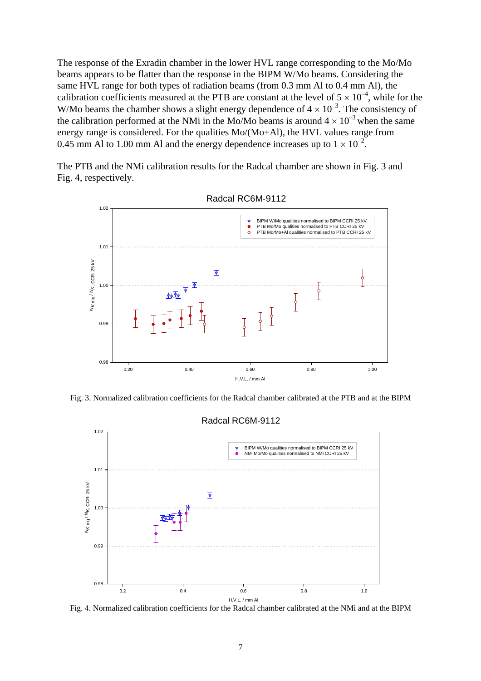The response of the Exradin chamber in the lower HVL range corresponding to the Mo/Mo beams appears to be flatter than the response in the BIPM W/Mo beams. Considering the same HVL range for both types of radiation beams (from 0.3 mm Al to 0.4 mm Al), the calibration coefficients measured at the PTB are constant at the level of  $5 \times 10^{-4}$ , while for the W/Mo beams the chamber shows a slight energy dependence of  $4 \times 10^{-3}$ . The consistency of the calibration performed at the NMi in the Mo/Mo beams is around  $4 \times 10^{-3}$  when the same energy range is considered. For the qualities Mo/(Mo+Al), the HVL values range from 0.45 mm Al to 1.00 mm Al and the energy dependence increases up to  $1 \times 10^{-2}$ .

The PTB and the NMi calibration results for the Radcal chamber are shown in Fig. 3 and Fig. 4, respectively.



Radcal RC6M-9112

Fig. 3. Normalized calibration coefficients for the Radcal chamber calibrated at the PTB and at the BIPM



Fig. 4. Normalized calibration coefficients for the Radcal chamber calibrated at the NMi and at the BIPM